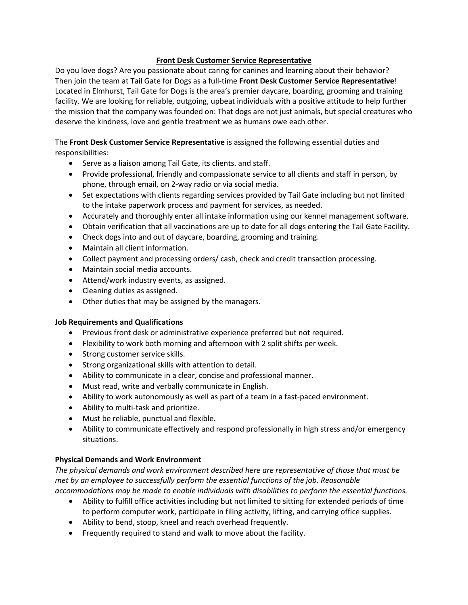### **Front Desk Customer Service Representative**

Do you love dogs? Are you passionate about caring for canines and learning about their behavior? Then join the team at Tail Gate for Dogs as a full-time **Front Desk Customer Service Representative**! Located in Elmhurst, Tail Gate for Dogs is the area's premier daycare, boarding, grooming and training facility. We are looking for reliable, outgoing, upbeat individuals with a positive attitude to help further the mission that the company was founded on: That dogs are not just animals, but special creatures who deserve the kindness, love and gentle treatment we as humans owe each other.

### The **Front Desk Customer Service Representative** is assigned the following essential duties and responsibilities:

- Serve as a liaison among Tail Gate, its clients. and staff.
- Provide professional, friendly and compassionate service to all clients and staff in person, by phone, through email, on 2-way radio or via social media.
- Set expectations with clients regarding services provided by Tail Gate including but not limited to the intake paperwork process and payment for services, as needed.
- Accurately and thoroughly enter all intake information using our kennel management software.
- Obtain verification that all vaccinations are up to date for all dogs entering the Tail Gate Facility.
- Check dogs into and out of daycare, boarding, grooming and training.
- Maintain all client information.
- Collect payment and processing orders/ cash, check and credit transaction processing.
- Maintain social media accounts.
- Attend/work industry events, as assigned.
- Cleaning duties as assigned.
- Other duties that may be assigned by the managers.

# **Job Requirements and Qualifications**

- Previous front desk or administrative experience preferred but not required.
- Flexibility to work both morning and afternoon with 2 split shifts per week.
- Strong customer service skills.
- Strong organizational skills with attention to detail.
- Ability to communicate in a clear, concise and professional manner.
- Must read, write and verbally communicate in English.
- Ability to work autonomously as well as part of a team in a fast-paced environment.
- Ability to multi-task and prioritize.
- Must be reliable, punctual and flexible.
- Ability to communicate effectively and respond professionally in high stress and/or emergency situations.

# **Physical Demands and Work Environment**

*The physical demands and work environment described here are representative of those that must be met by an employee to successfully perform the essential functions of the job. Reasonable accommodations may be made to enable individuals with disabilities to perform the essential functions.*

- Ability to fulfill office activities including but not limited to sitting for extended periods of time to perform computer work, participate in filing activity, lifting, and carrying office supplies.
- Ability to bend, stoop, kneel and reach overhead frequently.
- Frequently required to stand and walk to move about the facility.